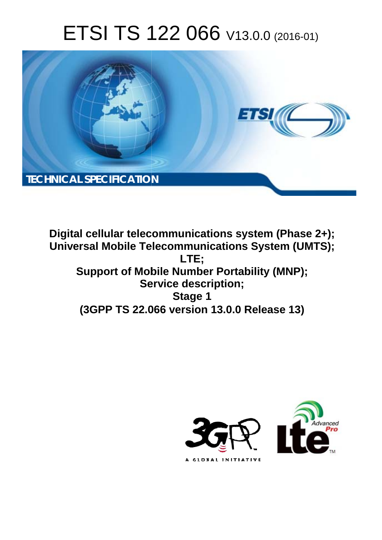# ETSI TS 122 066 V13.0.0 (2016-01)



**Digital cellular telecommunications system (Phase 2+); Universal Mobile Tel elecommunications System ( (UMTS); Support of Mobile Number Portability (MNP); Ser ervice description; (3GPP TS 22.0 .066 version 13.0.0 Release 13 13) LTE; Stage 1** 

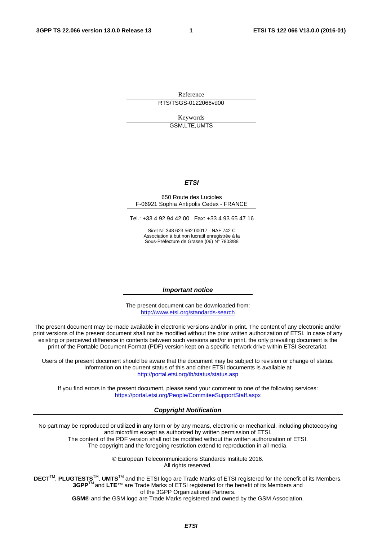Reference RTS/TSGS-0122066vd00

> Keywords GSM,LTE,UMTS

#### *ETSI*

#### 650 Route des Lucioles F-06921 Sophia Antipolis Cedex - FRANCE

Tel.: +33 4 92 94 42 00 Fax: +33 4 93 65 47 16

Siret N° 348 623 562 00017 - NAF 742 C Association à but non lucratif enregistrée à la Sous-Préfecture de Grasse (06) N° 7803/88

#### *Important notice*

The present document can be downloaded from: <http://www.etsi.org/standards-search>

The present document may be made available in electronic versions and/or in print. The content of any electronic and/or print versions of the present document shall not be modified without the prior written authorization of ETSI. In case of any existing or perceived difference in contents between such versions and/or in print, the only prevailing document is the print of the Portable Document Format (PDF) version kept on a specific network drive within ETSI Secretariat.

Users of the present document should be aware that the document may be subject to revision or change of status. Information on the current status of this and other ETSI documents is available at <http://portal.etsi.org/tb/status/status.asp>

If you find errors in the present document, please send your comment to one of the following services: <https://portal.etsi.org/People/CommiteeSupportStaff.aspx>

#### *Copyright Notification*

No part may be reproduced or utilized in any form or by any means, electronic or mechanical, including photocopying and microfilm except as authorized by written permission of ETSI.

The content of the PDF version shall not be modified without the written authorization of ETSI. The copyright and the foregoing restriction extend to reproduction in all media.

> © European Telecommunications Standards Institute 2016. All rights reserved.

**DECT**TM, **PLUGTESTS**TM, **UMTS**TM and the ETSI logo are Trade Marks of ETSI registered for the benefit of its Members. **3GPP**TM and **LTE**™ are Trade Marks of ETSI registered for the benefit of its Members and of the 3GPP Organizational Partners.

**GSM**® and the GSM logo are Trade Marks registered and owned by the GSM Association.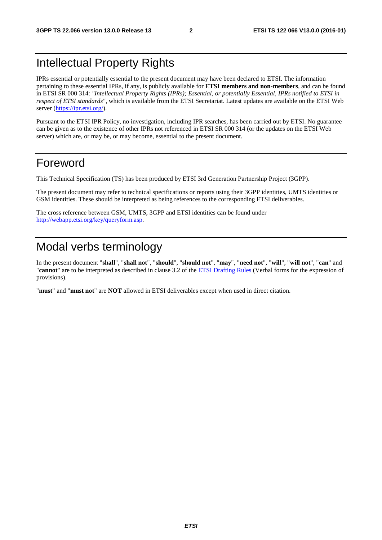#### Intellectual Property Rights

IPRs essential or potentially essential to the present document may have been declared to ETSI. The information pertaining to these essential IPRs, if any, is publicly available for **ETSI members and non-members**, and can be found in ETSI SR 000 314: *"Intellectual Property Rights (IPRs); Essential, or potentially Essential, IPRs notified to ETSI in respect of ETSI standards"*, which is available from the ETSI Secretariat. Latest updates are available on the ETSI Web server [\(https://ipr.etsi.org/](https://ipr.etsi.org/)).

Pursuant to the ETSI IPR Policy, no investigation, including IPR searches, has been carried out by ETSI. No guarantee can be given as to the existence of other IPRs not referenced in ETSI SR 000 314 (or the updates on the ETSI Web server) which are, or may be, or may become, essential to the present document.

#### Foreword

This Technical Specification (TS) has been produced by ETSI 3rd Generation Partnership Project (3GPP).

The present document may refer to technical specifications or reports using their 3GPP identities, UMTS identities or GSM identities. These should be interpreted as being references to the corresponding ETSI deliverables.

The cross reference between GSM, UMTS, 3GPP and ETSI identities can be found under [http://webapp.etsi.org/key/queryform.asp.](http://webapp.etsi.org/key/queryform.asp)

#### Modal verbs terminology

In the present document "**shall**", "**shall not**", "**should**", "**should not**", "**may**", "**need not**", "**will**", "**will not**", "**can**" and "**cannot**" are to be interpreted as described in clause 3.2 of the [ETSI Drafting Rules](http://portal.etsi.org/Help/editHelp!/Howtostart/ETSIDraftingRules.aspx) (Verbal forms for the expression of provisions).

"**must**" and "**must not**" are **NOT** allowed in ETSI deliverables except when used in direct citation.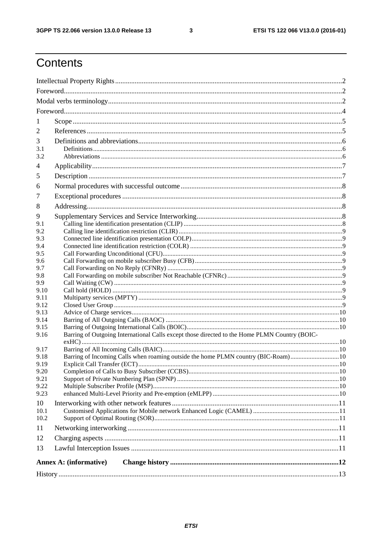$\mathbf{3}$ 

# Contents

| 1            |                                                                                               |  |  |  |  |
|--------------|-----------------------------------------------------------------------------------------------|--|--|--|--|
| 2            |                                                                                               |  |  |  |  |
| 3            |                                                                                               |  |  |  |  |
| 3.1          |                                                                                               |  |  |  |  |
| 3.2          |                                                                                               |  |  |  |  |
| 4            |                                                                                               |  |  |  |  |
| 5            |                                                                                               |  |  |  |  |
| 6            |                                                                                               |  |  |  |  |
| 7            |                                                                                               |  |  |  |  |
| 8            |                                                                                               |  |  |  |  |
| 9            |                                                                                               |  |  |  |  |
| 9.1          |                                                                                               |  |  |  |  |
| 9.2          |                                                                                               |  |  |  |  |
| 9.3          |                                                                                               |  |  |  |  |
| 9.4          |                                                                                               |  |  |  |  |
| 9.5          |                                                                                               |  |  |  |  |
| 9.6          |                                                                                               |  |  |  |  |
| 9.7          |                                                                                               |  |  |  |  |
| 9.8          |                                                                                               |  |  |  |  |
| 9.9          |                                                                                               |  |  |  |  |
| 9.10         |                                                                                               |  |  |  |  |
| 9.11         |                                                                                               |  |  |  |  |
| 9.12<br>9.13 |                                                                                               |  |  |  |  |
| 9.14         |                                                                                               |  |  |  |  |
| 9.15         |                                                                                               |  |  |  |  |
| 9.16         | Barring of Outgoing International Calls except those directed to the Home PLMN Country (BOIC- |  |  |  |  |
| 9.17         |                                                                                               |  |  |  |  |
| 9.18         | Barring of Incoming Calls when roaming outside the home PLMN country (BIC-Roam)10             |  |  |  |  |
| 9.19         |                                                                                               |  |  |  |  |
| 9.20         |                                                                                               |  |  |  |  |
| 9.21         |                                                                                               |  |  |  |  |
| 9.22         |                                                                                               |  |  |  |  |
| 9.23         |                                                                                               |  |  |  |  |
| 10           |                                                                                               |  |  |  |  |
| 10.1         |                                                                                               |  |  |  |  |
| 10.2         |                                                                                               |  |  |  |  |
| 11           |                                                                                               |  |  |  |  |
| 12           |                                                                                               |  |  |  |  |
| 13           |                                                                                               |  |  |  |  |
|              | Annex A: (informative)                                                                        |  |  |  |  |
|              |                                                                                               |  |  |  |  |
|              |                                                                                               |  |  |  |  |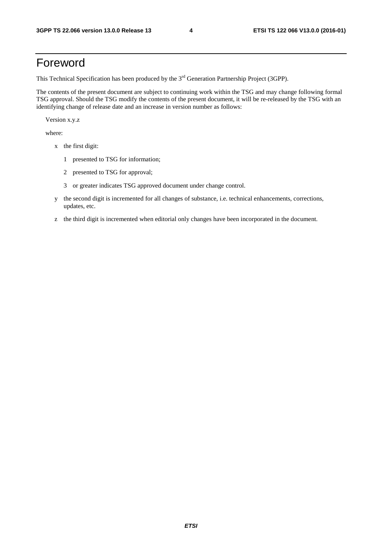#### Foreword

This Technical Specification has been produced by the 3<sup>rd</sup> Generation Partnership Project (3GPP).

The contents of the present document are subject to continuing work within the TSG and may change following formal TSG approval. Should the TSG modify the contents of the present document, it will be re-released by the TSG with an identifying change of release date and an increase in version number as follows:

Version x.y.z

where:

- x the first digit:
	- 1 presented to TSG for information;
	- 2 presented to TSG for approval;
	- 3 or greater indicates TSG approved document under change control.
- y the second digit is incremented for all changes of substance, i.e. technical enhancements, corrections, updates, etc.
- z the third digit is incremented when editorial only changes have been incorporated in the document.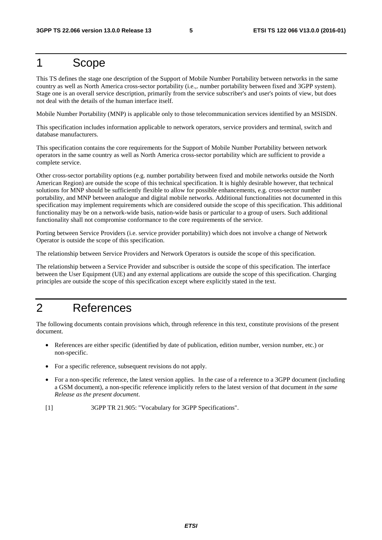#### 1 Scope

This TS defines the stage one description of the Support of Mobile Number Portability between networks in the same country as well as North America cross-sector portability (i.e.,. number portability between fixed and 3GPP system). Stage one is an overall service description, primarily from the service subscriber's and user's points of view, but does not deal with the details of the human interface itself.

Mobile Number Portability (MNP) is applicable only to those telecommunication services identified by an MSISDN.

This specification includes information applicable to network operators, service providers and terminal, switch and database manufacturers.

This specification contains the core requirements for the Support of Mobile Number Portability between network operators in the same country as well as North America cross-sector portability which are sufficient to provide a complete service.

Other cross-sector portability options (e.g. number portability between fixed and mobile networks outside the North American Region) are outside the scope of this technical specification. It is highly desirable however, that technical solutions for MNP should be sufficiently flexible to allow for possible enhancements, e.g. cross-sector number portability, and MNP between analogue and digital mobile networks. Additional functionalities not documented in this specification may implement requirements which are considered outside the scope of this specification. This additional functionality may be on a network-wide basis, nation-wide basis or particular to a group of users. Such additional functionality shall not compromise conformance to the core requirements of the service.

Porting between Service Providers (i.e. service provider portability) which does not involve a change of Network Operator is outside the scope of this specification.

The relationship between Service Providers and Network Operators is outside the scope of this specification.

The relationship between a Service Provider and subscriber is outside the scope of this specification. The interface between the User Equipment (UE) and any external applications are outside the scope of this specification. Charging principles are outside the scope of this specification except where explicitly stated in the text.

#### 2 References

The following documents contain provisions which, through reference in this text, constitute provisions of the present document.

- References are either specific (identified by date of publication, edition number, version number, etc.) or non-specific.
- For a specific reference, subsequent revisions do not apply.
- For a non-specific reference, the latest version applies. In the case of a reference to a 3GPP document (including a GSM document), a non-specific reference implicitly refers to the latest version of that document *in the same Release as the present document*.
- [1] 3GPP TR 21.905: "Vocabulary for 3GPP Specifications".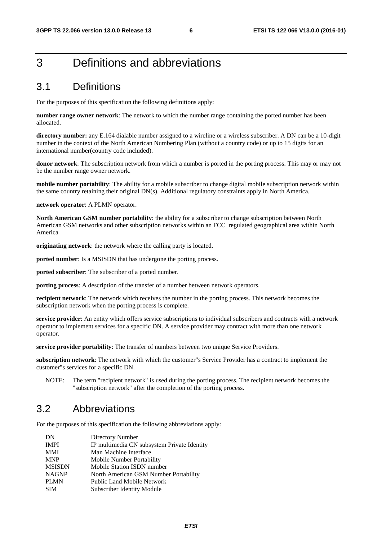#### 3 Definitions and abbreviations

#### 3.1 Definitions

For the purposes of this specification the following definitions apply:

**number range owner network**: The network to which the number range containing the ported number has been allocated.

**directory number:** any E.164 dialable number assigned to a wireline or a wireless subscriber. A DN can be a 10-digit number in the context of the North American Numbering Plan (without a country code) or up to 15 digits for an international number(country code included).

**donor network**: The subscription network from which a number is ported in the porting process. This may or may not be the number range owner network.

**mobile number portability**: The ability for a mobile subscriber to change digital mobile subscription network within the same country retaining their original DN(s). Additional regulatory constraints apply in North America.

**network operator**: A PLMN operator.

**North American GSM number portability**: the ability for a subscriber to change subscription between North American GSM networks and other subscription networks within an FCC regulated geographical area within North America

**originating network**: the network where the calling party is located.

**ported number**: Is a MSISDN that has undergone the porting process.

**ported subscriber**: The subscriber of a ported number.

**porting process**: A description of the transfer of a number between network operators.

**recipient network**: The network which receives the number in the porting process. This network becomes the subscription network when the porting process is complete.

**service provider**: An entity which offers service subscriptions to individual subscribers and contracts with a network operator to implement services for a specific DN. A service provider may contract with more than one network operator.

**service provider portability**: The transfer of numbers between two unique Service Providers.

**subscription network**: The network with which the customer"s Service Provider has a contract to implement the customer"s services for a specific DN.

NOTE: The term "recipient network" is used during the porting process. The recipient network becomes the "subscription network" after the completion of the porting process.

#### 3.2 Abbreviations

For the purposes of this specification the following abbreviations apply:

| DN            | Directory Number                            |
|---------------|---------------------------------------------|
| <b>IMPI</b>   | IP multimedia CN subsystem Private Identity |
| <b>MMI</b>    | Man Machine Interface                       |
| <b>MNP</b>    | Mobile Number Portability                   |
| <b>MSISDN</b> | Mobile Station ISDN number                  |
| <b>NAGNP</b>  | North American GSM Number Portability       |
| <b>PLMN</b>   | Public Land Mobile Network                  |
| <b>SIM</b>    | Subscriber Identity Module                  |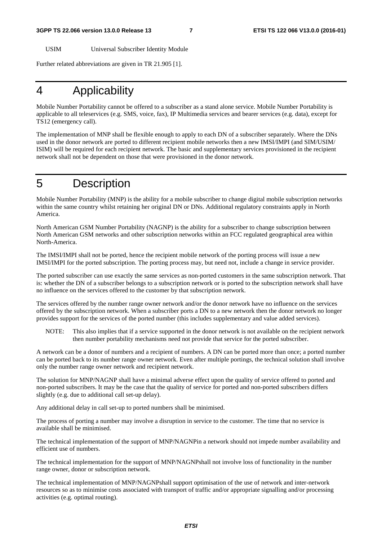USIM Universal Subscriber Identity Module

Further related abbreviations are given in TR 21.905 [1].

#### 4 Applicability

Mobile Number Portability cannot be offered to a subscriber as a stand alone service. Mobile Number Portability is applicable to all teleservices (e.g. SMS, voice, fax), IP Multimedia services and bearer services (e.g. data), except for TS12 (emergency call).

The implementation of MNP shall be flexible enough to apply to each DN of a subscriber separately. Where the DNs used in the donor network are ported to different recipient mobile networks then a new IMSI/IMPI (and SIM/USIM/ ISIM) will be required for each recipient network. The basic and supplementary services provisioned in the recipient network shall not be dependent on those that were provisioned in the donor network.

#### 5 Description

Mobile Number Portability (MNP) is the ability for a mobile subscriber to change digital mobile subscription networks within the same country whilst retaining her original DN or DNs. Additional regulatory constraints apply in North America.

North American GSM Number Portability (NAGNP) is the ability for a subscriber to change subscription between North American GSM networks and other subscription networks within an FCC regulated geographical area within North-America.

The IMSI/IMPI shall not be ported, hence the recipient mobile network of the porting process will issue a new IMSI/IMPI for the ported subscription. The porting process may, but need not, include a change in service provider.

The ported subscriber can use exactly the same services as non-ported customers in the same subscription network. That is: whether the DN of a subscriber belongs to a subscription network or is ported to the subscription network shall have no influence on the services offered to the customer by that subscription network.

The services offered by the number range owner network and/or the donor network have no influence on the services offered by the subscription network. When a subscriber ports a DN to a new network then the donor network no longer provides support for the services of the ported number (this includes supplementary and value added services).

NOTE: This also implies that if a service supported in the donor network is not available on the recipient network then number portability mechanisms need not provide that service for the ported subscriber.

A network can be a donor of numbers and a recipient of numbers. A DN can be ported more than once; a ported number can be ported back to its number range owner network. Even after multiple portings, the technical solution shall involve only the number range owner network and recipient network.

The solution for MNP/NAGNP shall have a minimal adverse effect upon the quality of service offered to ported and non-ported subscribers. It may be the case that the quality of service for ported and non-ported subscribers differs slightly (e.g. due to additional call set-up delay).

Any additional delay in call set-up to ported numbers shall be minimised.

The process of porting a number may involve a disruption in service to the customer. The time that no service is available shall be minimised.

The technical implementation of the support of MNP/NAGNPin a network should not impede number availability and efficient use of numbers.

The technical implementation for the support of MNP/NAGNPshall not involve loss of functionality in the number range owner, donor or subscription network.

The technical implementation of MNP/NAGNPshall support optimisation of the use of network and inter-network resources so as to minimise costs associated with transport of traffic and/or appropriate signalling and/or processing activities (e.g. optimal routing).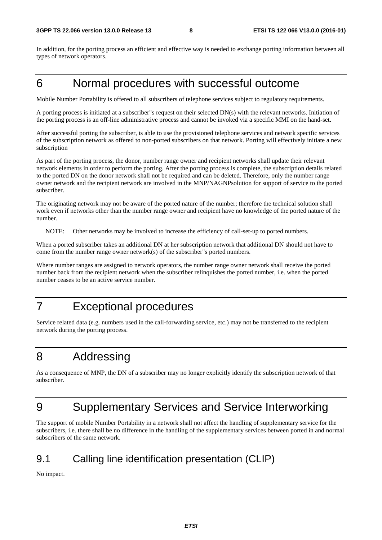In addition, for the porting process an efficient and effective way is needed to exchange porting information between all types of network operators.

#### 6 Normal procedures with successful outcome

Mobile Number Portability is offered to all subscribers of telephone services subject to regulatory requirements.

A porting process is initiated at a subscriber"s request on their selected DN(s) with the relevant networks. Initiation of the porting process is an off-line administrative process and cannot be invoked via a specific MMI on the hand-set.

After successful porting the subscriber, is able to use the provisioned telephone services and network specific services of the subscription network as offered to non-ported subscribers on that network. Porting will effectively initiate a new subscription

As part of the porting process, the donor, number range owner and recipient networks shall update their relevant network elements in order to perform the porting. After the porting process is complete, the subscription details related to the ported DN on the donor network shall not be required and can be deleted. Therefore, only the number range owner network and the recipient network are involved in the MNP/NAGNPsolution for support of service to the ported subscriber.

The originating network may not be aware of the ported nature of the number; therefore the technical solution shall work even if networks other than the number range owner and recipient have no knowledge of the ported nature of the number.

NOTE: Other networks may be involved to increase the efficiency of call-set-up to ported numbers.

When a ported subscriber takes an additional DN at her subscription network that additional DN should not have to come from the number range owner network(s) of the subscriber"s ported numbers.

Where number ranges are assigned to network operators, the number range owner network shall receive the ported number back from the recipient network when the subscriber relinquishes the ported number, i.e. when the ported number ceases to be an active service number.

## 7 Exceptional procedures

Service related data (e.g. numbers used in the call-forwarding service, etc.) may not be transferred to the recipient network during the porting process.

#### 8 Addressing

As a consequence of MNP, the DN of a subscriber may no longer explicitly identify the subscription network of that subscriber.

# 9 Supplementary Services and Service Interworking

The support of mobile Number Portability in a network shall not affect the handling of supplementary service for the subscribers, i.e. there shall be no difference in the handling of the supplementary services between ported in and normal subscribers of the same network.

#### 9.1 Calling line identification presentation (CLIP)

No impact.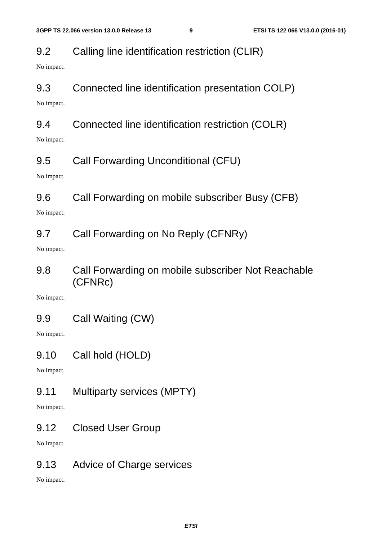#### 9.2 Calling line identification restriction (CLIR)

No impact.

#### 9.3 Connected line identification presentation COLP)

No impact.

#### 9.4 Connected line identification restriction (COLR)

No impact.

#### 9.5 Call Forwarding Unconditional (CFU)

No impact.

#### 9.6 Call Forwarding on mobile subscriber Busy (CFB)

No impact.

#### 9.7 Call Forwarding on No Reply (CFNRy)

No impact.

9.8 Call Forwarding on mobile subscriber Not Reachable (CFNRc)

No impact.

9.9 Call Waiting (CW)

No impact.

9.10 Call hold (HOLD)

No impact.

9.11 Multiparty services (MPTY)

No impact.

9.12 Closed User Group

No impact.

#### 9.13 Advice of Charge services

No impact.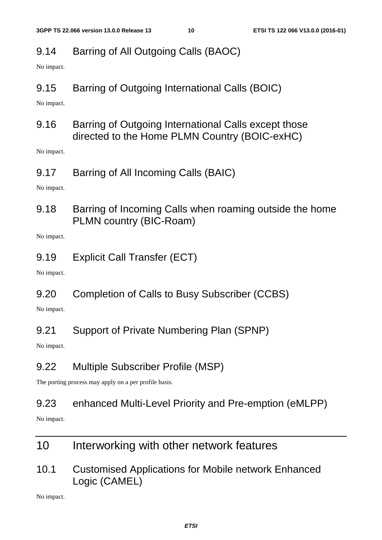#### 9.14 Barring of All Outgoing Calls (BAOC)

No impact.

9.15 Barring of Outgoing International Calls (BOIC)

No impact.

9.16 Barring of Outgoing International Calls except those directed to the Home PLMN Country (BOIC-exHC)

No impact.

9.17 Barring of All Incoming Calls (BAIC)

No impact.

9.18 Barring of Incoming Calls when roaming outside the home PLMN country (BIC-Roam)

No impact.

9.19 Explicit Call Transfer (ECT)

No impact.

9.20 Completion of Calls to Busy Subscriber (CCBS)

No impact.

9.21 Support of Private Numbering Plan (SPNP)

No impact.

#### 9.22 Multiple Subscriber Profile (MSP)

The porting process may apply on a per profile basis.

#### 9.23 enhanced Multi-Level Priority and Pre-emption (eMLPP)

No impact.

- 10 Interworking with other network features
- 10.1 Customised Applications for Mobile network Enhanced Logic (CAMEL)

No impact.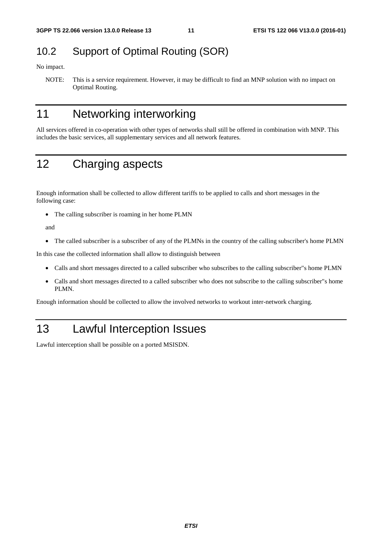#### 10.2 Support of Optimal Routing (SOR)

No impact.

NOTE: This is a service requirement. However, it may be difficult to find an MNP solution with no impact on Optimal Routing.

### 11 Networking interworking

All services offered in co-operation with other types of networks shall still be offered in combination with MNP. This includes the basic services, all supplementary services and all network features.

## 12 Charging aspects

Enough information shall be collected to allow different tariffs to be applied to calls and short messages in the following case:

• The calling subscriber is roaming in her home PLMN

and

• The called subscriber is a subscriber of any of the PLMNs in the country of the calling subscriber's home PLMN

In this case the collected information shall allow to distinguish between

- Calls and short messages directed to a called subscriber who subscribes to the calling subscriber"s home PLMN
- Calls and short messages directed to a called subscriber who does not subscribe to the calling subscriber"s home PLMN.

Enough information should be collected to allow the involved networks to workout inter-network charging.

## 13 Lawful Interception Issues

Lawful interception shall be possible on a ported MSISDN.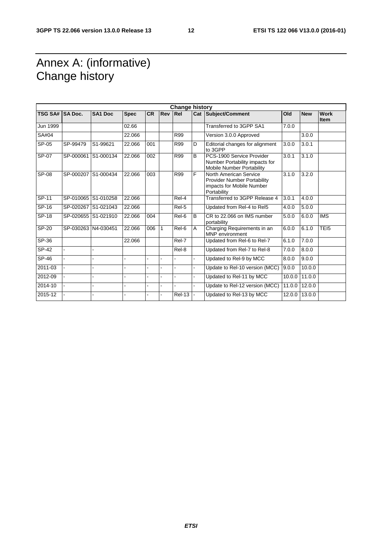## Annex A: (informative) Change history

|                 |                     |                |             |           |              | <b>Change history</b> |                |                                                                                                          |        |            |                            |
|-----------------|---------------------|----------------|-------------|-----------|--------------|-----------------------|----------------|----------------------------------------------------------------------------------------------------------|--------|------------|----------------------------|
| TSG SA# SA Doc. |                     | <b>SA1 Doc</b> | <b>Spec</b> | <b>CR</b> | <b>Rev</b>   | IRel                  |                | Cat Subject/Comment                                                                                      | Old    | <b>New</b> | <b>Work</b><br><b>Item</b> |
| Jun 1999        |                     |                | 02.66       |           |              |                       |                | Transferred to 3GPP SA1                                                                                  | 7.0.0  |            |                            |
| SA#04           |                     |                | 22.066      |           |              | R99                   |                | Version 3.0.0 Approved                                                                                   |        | 3.0.0      |                            |
| SP-05           | SP-99479            | S1-99621       | 22.066      | 001       |              | R99                   | D              | Editorial changes for alignment<br>to 3GPP                                                               | 3.0.0  | 3.0.1      |                            |
| SP-07           | SP-000061 S1-000134 |                | 22.066      | 002       |              | <b>R99</b>            | B              | PCS-1900 Service Provider<br>Number Portability impacts for<br><b>Mobile Number Portability</b>          | 3.0.1  | 3.1.0      |                            |
| <b>SP-08</b>    | SP-000207           | S1-000434      | 22.066      | 003       |              | R99                   | F              | North American Service<br><b>Provider Number Portability</b><br>impacts for Mobile Number<br>Portability | 3.1.0  | 3.2.0      |                            |
| SP-11           | SP-010065 S1-010258 |                | 22.066      |           |              | Rel-4                 |                | Transferred to 3GPP Release 4                                                                            | 3.0.1  | 4.0.0      |                            |
| $SP-16$         | SP-020267 S1-021043 |                | 22.066      |           |              | Rel-5                 |                | Updated from Rel-4 to Rel5                                                                               | 4.0.0  | 5.0.0      |                            |
| SP-18           | SP-020655 S1-021910 |                | 22.066      | 004       |              | Rel-6                 | B              | CR to 22.066 on IMS number<br>portability                                                                | 5.0.0  | 6.0.0      | <b>IMS</b>                 |
| SP-20           | SP-030263 N4-030451 |                | 22.066      | 006       | $\mathbf{1}$ | Rel-6                 | $\overline{A}$ | Charging Requirements in an<br><b>MNP</b> environment                                                    | 6.0.0  | 6.1.0      | TEI5                       |
| $SP-36$         |                     |                | 22.066      |           |              | Rel-7                 |                | Updated from Rel-6 to Rel-7                                                                              | 6.1.0  | 7.0.0      |                            |
| $SP-42$         |                     |                |             |           |              | Rel-8                 |                | Updated from Rel-7 to Rel-8                                                                              | 7.0.0  | 8.0.0      |                            |
| $SP-46$         |                     |                |             |           |              |                       |                | Updated to Rel-9 by MCC                                                                                  | 8.0.0  | 9.0.0      |                            |
| 2011-03         |                     |                |             |           |              |                       |                | Update to Rel-10 version (MCC)                                                                           | 9.0.0  | 10.0.0     |                            |
| 2012-09         |                     |                |             |           |              |                       |                | Updated to Rel-11 by MCC                                                                                 | 10.0.0 | 11.0.0     |                            |
| 2014-10         |                     |                |             |           |              |                       |                | Update to Rel-12 version (MCC)                                                                           | 11.0.0 | 12.0.0     |                            |
| 2015-12         |                     |                |             |           |              | <b>Rel-13</b>         |                | Updated to Rel-13 by MCC                                                                                 | 12.0.0 | 13.0.0     |                            |